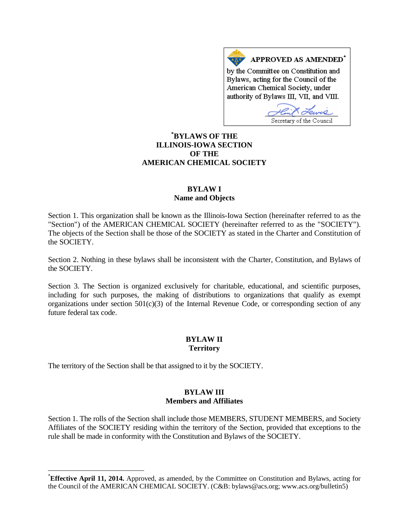APPROVED AS AMENDED\* by the Committee on Constitution and Bylaws, acting for the Council of the American Chemical Society, under authority of Bylaws III, VII, and VIII.

Secretary of the Council

# **[\\*](#page-0-0) BYLAWS OF THE ILLINOIS-IOWA SECTION OF THE AMERICAN CHEMICAL SOCIETY**

### **BYLAW I Name and Objects**

Section 1. This organization shall be known as the Illinois-Iowa Section (hereinafter referred to as the "Section") of the AMERICAN CHEMICAL SOCIETY (hereinafter referred to as the "SOCIETY"). The objects of the Section shall be those of the SOCIETY as stated in the Charter and Constitution of the SOCIETY.

Section 2. Nothing in these bylaws shall be inconsistent with the Charter, Constitution, and Bylaws of the SOCIETY.

Section 3. The Section is organized exclusively for charitable, educational, and scientific purposes, including for such purposes, the making of distributions to organizations that qualify as exempt organizations under section  $501(c)(3)$  of the Internal Revenue Code, or corresponding section of any future federal tax code.

#### **BYLAW II Territory**

The territory of the Section shall be that assigned to it by the SOCIETY.

#### **BYLAW III Members and Affiliates**

Section 1. The rolls of the Section shall include those MEMBERS, STUDENT MEMBERS, and Society Affiliates of the SOCIETY residing within the territory of the Section, provided that exceptions to the rule shall be made in conformity with the Constitution and Bylaws of the SOCIETY.

<span id="page-0-0"></span> <sup>\*</sup> **Effective April 11, 2014.** Approved, as amended, by the Committee on Constitution and Bylaws, acting for the Council of the AMERICAN CHEMICAL SOCIETY. (C&B: bylaws@acs.org; www.acs.org/bulletin5)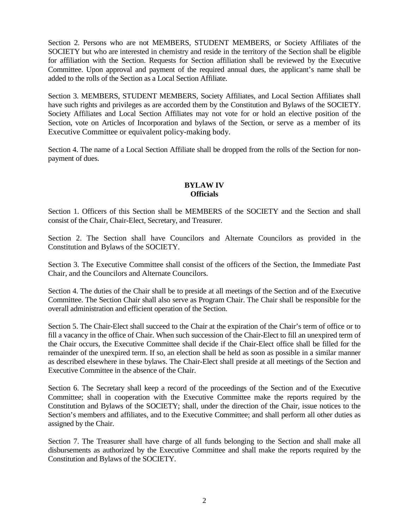Section 2. Persons who are not MEMBERS, STUDENT MEMBERS, or Society Affiliates of the SOCIETY but who are interested in chemistry and reside in the territory of the Section shall be eligible for affiliation with the Section. Requests for Section affiliation shall be reviewed by the Executive Committee. Upon approval and payment of the required annual dues, the applicant's name shall be added to the rolls of the Section as a Local Section Affiliate.

Section 3. MEMBERS, STUDENT MEMBERS, Society Affiliates, and Local Section Affiliates shall have such rights and privileges as are accorded them by the Constitution and Bylaws of the SOCIETY. Society Affiliates and Local Section Affiliates may not vote for or hold an elective position of the Section, vote on Articles of Incorporation and bylaws of the Section, or serve as a member of its Executive Committee or equivalent policy-making body.

Section 4. The name of a Local Section Affiliate shall be dropped from the rolls of the Section for nonpayment of dues.

## **BYLAW IV Officials**

Section 1. Officers of this Section shall be MEMBERS of the SOCIETY and the Section and shall consist of the Chair, Chair-Elect, Secretary, and Treasurer.

Section 2. The Section shall have Councilors and Alternate Councilors as provided in the Constitution and Bylaws of the SOCIETY.

Section 3. The Executive Committee shall consist of the officers of the Section, the Immediate Past Chair, and the Councilors and Alternate Councilors.

Section 4. The duties of the Chair shall be to preside at all meetings of the Section and of the Executive Committee. The Section Chair shall also serve as Program Chair. The Chair shall be responsible for the overall administration and efficient operation of the Section.

Section 5. The Chair-Elect shall succeed to the Chair at the expiration of the Chair's term of office or to fill a vacancy in the office of Chair. When such succession of the Chair-Elect to fill an unexpired term of the Chair occurs, the Executive Committee shall decide if the Chair-Elect office shall be filled for the remainder of the unexpired term. If so, an election shall be held as soon as possible in a similar manner as described elsewhere in these bylaws. The Chair-Elect shall preside at all meetings of the Section and Executive Committee in the absence of the Chair.

Section 6. The Secretary shall keep a record of the proceedings of the Section and of the Executive Committee; shall in cooperation with the Executive Committee make the reports required by the Constitution and Bylaws of the SOCIETY; shall, under the direction of the Chair, issue notices to the Section's members and affiliates, and to the Executive Committee; and shall perform all other duties as assigned by the Chair.

Section 7. The Treasurer shall have charge of all funds belonging to the Section and shall make all disbursements as authorized by the Executive Committee and shall make the reports required by the Constitution and Bylaws of the SOCIETY.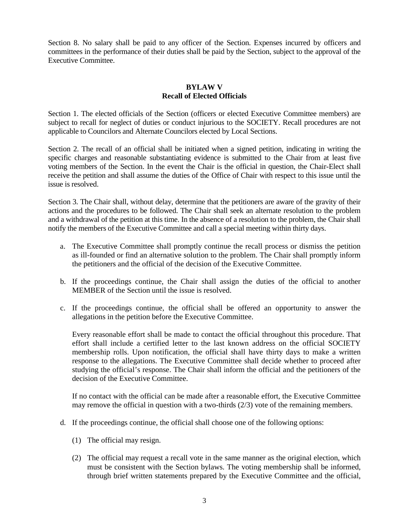Section 8. No salary shall be paid to any officer of the Section. Expenses incurred by officers and committees in the performance of their duties shall be paid by the Section, subject to the approval of the Executive Committee.

# **BYLAW V Recall of Elected Officials**

Section 1. The elected officials of the Section (officers or elected Executive Committee members) are subject to recall for neglect of duties or conduct injurious to the SOCIETY. Recall procedures are not applicable to Councilors and Alternate Councilors elected by Local Sections.

Section 2. The recall of an official shall be initiated when a signed petition, indicating in writing the specific charges and reasonable substantiating evidence is submitted to the Chair from at least five voting members of the Section. In the event the Chair is the official in question, the Chair-Elect shall receive the petition and shall assume the duties of the Office of Chair with respect to this issue until the issue is resolved.

Section 3. The Chair shall, without delay, determine that the petitioners are aware of the gravity of their actions and the procedures to be followed. The Chair shall seek an alternate resolution to the problem and a withdrawal of the petition at this time. In the absence of a resolution to the problem, the Chair shall notify the members of the Executive Committee and call a special meeting within thirty days.

- a. The Executive Committee shall promptly continue the recall process or dismiss the petition as ill-founded or find an alternative solution to the problem. The Chair shall promptly inform the petitioners and the official of the decision of the Executive Committee.
- b. If the proceedings continue, the Chair shall assign the duties of the official to another MEMBER of the Section until the issue is resolved.
- c. If the proceedings continue, the official shall be offered an opportunity to answer the allegations in the petition before the Executive Committee.

Every reasonable effort shall be made to contact the official throughout this procedure. That effort shall include a certified letter to the last known address on the official SOCIETY membership rolls. Upon notification, the official shall have thirty days to make a written response to the allegations. The Executive Committee shall decide whether to proceed after studying the official's response. The Chair shall inform the official and the petitioners of the decision of the Executive Committee.

If no contact with the official can be made after a reasonable effort, the Executive Committee may remove the official in question with a two-thirds (2/3) vote of the remaining members.

- d. If the proceedings continue, the official shall choose one of the following options:
	- (1) The official may resign.
	- (2) The official may request a recall vote in the same manner as the original election, which must be consistent with the Section bylaws. The voting membership shall be informed, through brief written statements prepared by the Executive Committee and the official,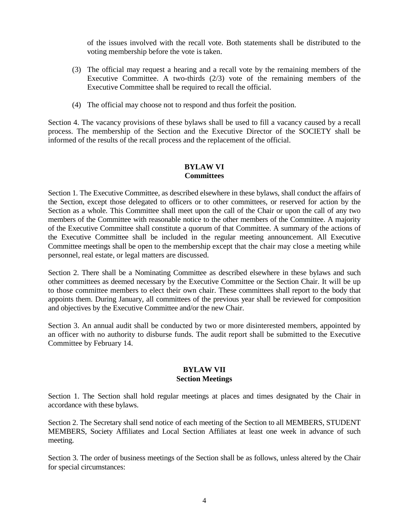of the issues involved with the recall vote. Both statements shall be distributed to the voting membership before the vote is taken.

- (3) The official may request a hearing and a recall vote by the remaining members of the Executive Committee. A two-thirds  $(2/3)$  vote of the remaining members of the Executive Committee shall be required to recall the official.
- (4) The official may choose not to respond and thus forfeit the position.

Section 4. The vacancy provisions of these bylaws shall be used to fill a vacancy caused by a recall process. The membership of the Section and the Executive Director of the SOCIETY shall be informed of the results of the recall process and the replacement of the official.

# **BYLAW VI Committees**

Section 1. The Executive Committee, as described elsewhere in these bylaws, shall conduct the affairs of the Section, except those delegated to officers or to other committees, or reserved for action by the Section as a whole. This Committee shall meet upon the call of the Chair or upon the call of any two members of the Committee with reasonable notice to the other members of the Committee. A majority of the Executive Committee shall constitute a quorum of that Committee. A summary of the actions of the Executive Committee shall be included in the regular meeting announcement. All Executive Committee meetings shall be open to the membership except that the chair may close a meeting while personnel, real estate, or legal matters are discussed.

Section 2. There shall be a Nominating Committee as described elsewhere in these bylaws and such other committees as deemed necessary by the Executive Committee or the Section Chair. It will be up to those committee members to elect their own chair. These committees shall report to the body that appoints them. During January, all committees of the previous year shall be reviewed for composition and objectives by the Executive Committee and/or the new Chair.

Section 3. An annual audit shall be conducted by two or more disinterested members, appointed by an officer with no authority to disburse funds. The audit report shall be submitted to the Executive Committee by February 14.

#### **BYLAW VII Section Meetings**

Section 1. The Section shall hold regular meetings at places and times designated by the Chair in accordance with these bylaws.

Section 2. The Secretary shall send notice of each meeting of the Section to all MEMBERS, STUDENT MEMBERS, Society Affiliates and Local Section Affiliates at least one week in advance of such meeting.

Section 3. The order of business meetings of the Section shall be as follows, unless altered by the Chair for special circumstances: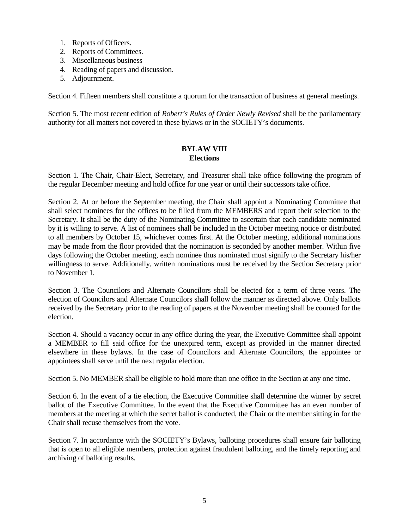- 1. Reports of Officers.
- 2. Reports of Committees.
- 3. Miscellaneous business
- 4. Reading of papers and discussion.
- 5. Adjournment.

Section 4. Fifteen members shall constitute a quorum for the transaction of business at general meetings.

Section 5. The most recent edition of *Robert's Rules of Order Newly Revised* shall be the parliamentary authority for all matters not covered in these bylaws or in the SOCIETY's documents.

### **BYLAW VIII Elections**

Section 1. The Chair, Chair-Elect, Secretary, and Treasurer shall take office following the program of the regular December meeting and hold office for one year or until their successors take office.

Section 2. At or before the September meeting, the Chair shall appoint a Nominating Committee that shall select nominees for the offices to be filled from the MEMBERS and report their selection to the Secretary. It shall be the duty of the Nominating Committee to ascertain that each candidate nominated by it is willing to serve. A list of nominees shall be included in the October meeting notice or distributed to all members by October 15, whichever comes first. At the October meeting, additional nominations may be made from the floor provided that the nomination is seconded by another member. Within five days following the October meeting, each nominee thus nominated must signify to the Secretary his/her willingness to serve. Additionally, written nominations must be received by the Section Secretary prior to November 1.

Section 3. The Councilors and Alternate Councilors shall be elected for a term of three years. The election of Councilors and Alternate Councilors shall follow the manner as directed above. Only ballots received by the Secretary prior to the reading of papers at the November meeting shall be counted for the election.

Section 4. Should a vacancy occur in any office during the year, the Executive Committee shall appoint a MEMBER to fill said office for the unexpired term, except as provided in the manner directed elsewhere in these bylaws. In the case of Councilors and Alternate Councilors, the appointee or appointees shall serve until the next regular election.

Section 5. No MEMBER shall be eligible to hold more than one office in the Section at any one time.

Section 6. In the event of a tie election, the Executive Committee shall determine the winner by secret ballot of the Executive Committee. In the event that the Executive Committee has an even number of members at the meeting at which the secret ballot is conducted, the Chair or the member sitting in for the Chair shall recuse themselves from the vote.

Section 7. In accordance with the SOCIETY's Bylaws, balloting procedures shall ensure fair balloting that is open to all eligible members, protection against fraudulent balloting, and the timely reporting and archiving of balloting results.